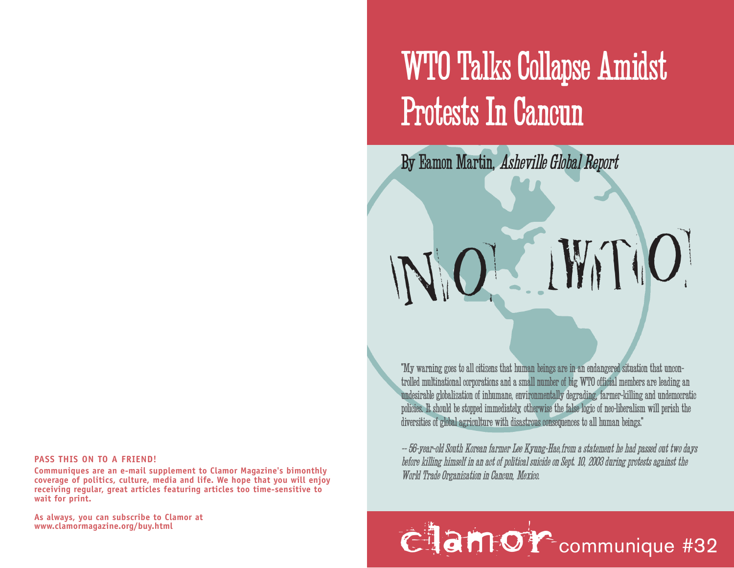## WTO Talks Collapse Amidst Protests In Cancun

By Eamon Martin, Asheville Global Report

"My warning goes to all citizens that human beings are in an endangered situation that uncontrolled multinational corporations and a small number of big WTO official members are leading an undesirable globalization of inhumane, environmentally degrading, farmer-killing and undemocratic policies. It should be stopped immediately, otherwise the false logic of neo-liberalism will perish the diversities of global agriculture with disastrous consequences to all human beings."

*NO WTO*

-- 56-year-old South Korean farmer Lee Kyung-Hae,from a statement he had passed out two days before killing himself in an act of political suicide on Sept. 10, 2003 during protests against the World Trade Organization in Cancun, Mexico.

## www.clamormagazine.org/buy.html **communique #32**

## **PASS THIS ON TO A FRIEND!**

**Communiques are an e-mail supplement to Clamor Magazine's bimonthly coverage of politics, culture, media and life. We hope that you will enjoy receiving regular, great articles featuring articles too time-sensitive to wait for print.** 

**As always, you can subscribe to Clamor at**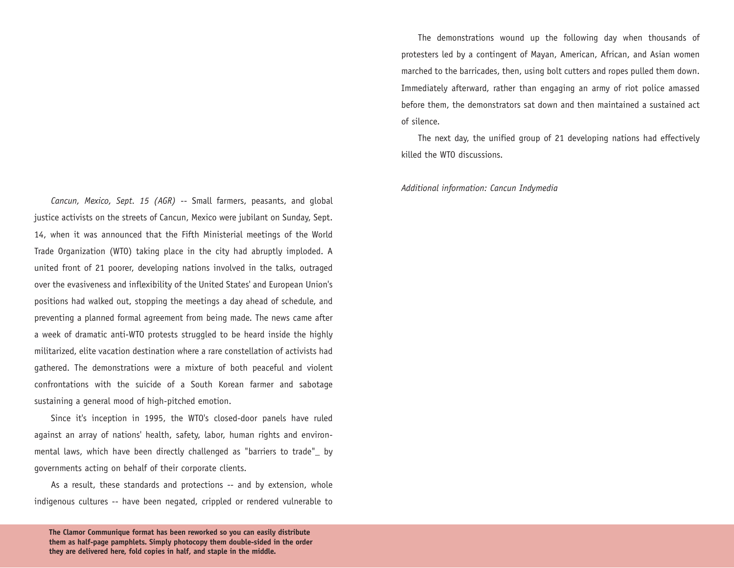*Cancun, Mexico, Sept. 15 (AGR)* -- Small farmers, peasants, and global justice activists on the streets of Cancun, Mexico were jubilant on Sunday, Sept. 14, when it was announced that the Fifth Ministerial meetings of the World Trade Organization (WTO) taking place in the city had abruptly imploded. A united front of 21 poorer, developing nations involved in the talks, outraged over the evasiveness and inflexibility of the United States' and European Union's positions had walked out, stopping the meetings a day ahead of schedule, and preventing a planned formal agreement from being made. The news came after a week of dramatic anti-WTO protests struggled to be heard inside the highly militarized, elite vacation destination where a rare constellation of activists had gathered. The demonstrations were a mixture of both peaceful and violent confrontations with the suicide of a South Korean farmer and sabotage sustaining a general mood of high-pitched emotion.

Since it's inception in 1995, the WTO's closed-door panels have ruled against an array of nations' health, safety, labor, human rights and environmental laws, which have been directly challenged as "barriers to trade"\_ by governments acting on behalf of their corporate clients.

As a result, these standards and protections -- and by extension, whole indigenous cultures -- have been negated, crippled or rendered vulnerable to

The demonstrations wound up the following day when thousands of protesters led by a contingent of Mayan, American, African, and Asian women marched to the barricades, then, using bolt cutters and ropes pulled them down. Immediately afterward, rather than engaging an army of riot police amassed before them, the demonstrators sat down and then maintained a sustained act of silence.

The next day, the unified group of 21 developing nations had effectively killed the WTO discussions.

*Additional information: Cancun Indymedia*

**The Clamor Communique format has been reworked so you can easily distribute them as half-page pamphlets. Simply photocopy them double-sided in the order they are delivered here, fold copies in half, and staple in the middle.**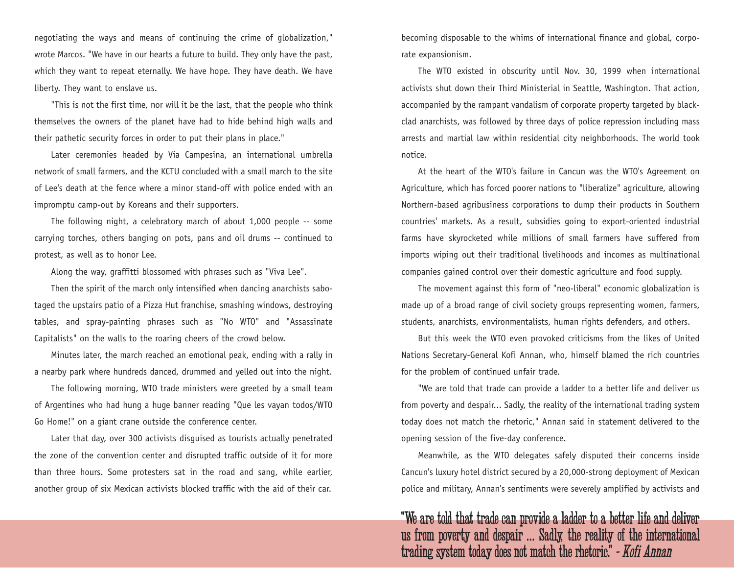negotiating the ways and means of continuing the crime of globalization," wrote Marcos. "We have in our hearts a future to build. They only have the past, which they want to repeat eternally. We have hope. They have death. We have liberty. They want to enslave us.

"This is not the first time, nor will it be the last, that the people who think themselves the owners of the planet have had to hide behind high walls and their pathetic security forces in order to put their plans in place."

Later ceremonies headed by Via Campesina, an international umbrella network of small farmers, and the KCTU concluded with a small march to the site of Lee's death at the fence where a minor stand-off with police ended with an impromptu camp-out by Koreans and their supporters.

The following night, a celebratory march of about 1,000 people -- some carrying torches, others banging on pots, pans and oil drums -- continued to protest, as well as to honor Lee.

Along the way, graffitti blossomed with phrases such as "Viva Lee".

Then the spirit of the march only intensified when dancing anarchists sabotaged the upstairs patio of a Pizza Hut franchise, smashing windows, destroying tables, and spray-painting phrases such as "No WTO" and "Assassinate Capitalists" on the walls to the roaring cheers of the crowd below.

Minutes later, the march reached an emotional peak, ending with a rally in a nearby park where hundreds danced, drummed and yelled out into the night.

The following morning, WTO trade ministers were greeted by a small team of Argentines who had hung a huge banner reading "Que les vayan todos/WTO Go Home!" on a giant crane outside the conference center.

Later that day, over 300 activists disguised as tourists actually penetrated the zone of the convention center and disrupted traffic outside of it for more than three hours. Some protesters sat in the road and sang, while earlier, another group of six Mexican activists blocked traffic with the aid of their car.

becoming disposable to the whims of international finance and global, corporate expansionism.

The WTO existed in obscurity until Nov. 30, 1999 when international activists shut down their Third Ministerial in Seattle, Washington. That action, accompanied by the rampant vandalism of corporate property targeted by blackclad anarchists, was followed by three days of police repression including mass arrests and martial law within residential city neighborhoods. The world took notice.

At the heart of the WTO's failure in Cancun was the WTO's Agreement on Agriculture, which has forced poorer nations to "liberalize" agriculture, allowing Northern-based agribusiness corporations to dump their products in Southern countries' markets. As a result, subsidies going to export-oriented industrial farms have skyrocketed while millions of small farmers have suffered from imports wiping out their traditional livelihoods and incomes as multinational companies gained control over their domestic agriculture and food supply.

The movement against this form of "neo-liberal" economic globalization is made up of a broad range of civil society groups representing women, farmers, students, anarchists, environmentalists, human rights defenders, and others.

But this week the WTO even provoked criticisms from the likes of United Nations Secretary-General Kofi Annan, who, himself blamed the rich countries for the problem of continued unfair trade.

"We are told that trade can provide a ladder to a better life and deliver us from poverty and despair... Sadly, the reality of the international trading system today does not match the rhetoric," Annan said in statement delivered to the opening session of the five-day conference.

Meanwhile, as the WTO delegates safely disputed their concerns inside Cancun's luxury hotel district secured by a 20,000-strong deployment of Mexican police and military, Annan's sentiments were severely amplified by activists and

"We are told that trade can provide a ladder to a better life and deliver us from poverty and despair ... Sadly, the reality of the international trading system today does not match the rhetoric." - Kofi Annan